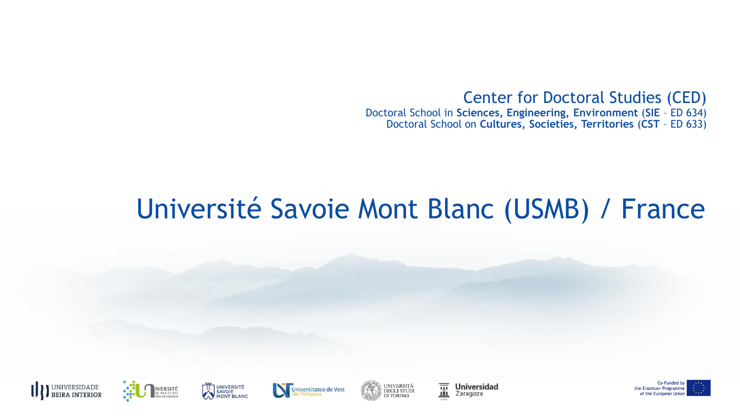Center for Doctoral Studies (CED) Doctoral School in **Sciences, Engineering, Environment** (**SIE** – ED 634) Doctoral School on **Cultures, Societies, Territories** (**CST** – ED 633)

### Université Savoie Mont Blanc (USMB) / France











薑 **Universidad** Zaragoza

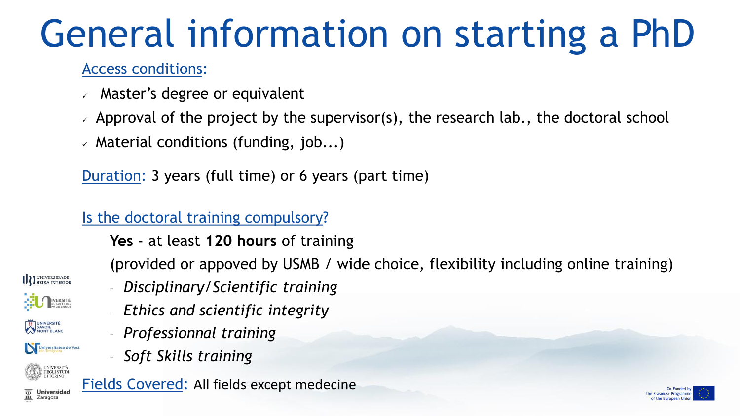# General information on starting a PhD

#### Access conditions:

- $\vee$  Master's degree or equivalent
- $\vee$  Approval of the project by the supervisor(s), the research lab., the doctoral school
- $\vee$  Material conditions (funding, job...)

Duration: 3 years (full time) or 6 years (part time)

#### Is the doctoral training compulsory?

**Yes** - at least **120 hours** of training

(provided or appoved by USMB / wide choice, flexibility including online training)



**DEGLI STUDI** 

**Universidad** Zaragoza

– *Ethics and scientific integrity*

– *Disciplinary/Scientific training*

- *Professionnal training*
- *Soft Skills training*



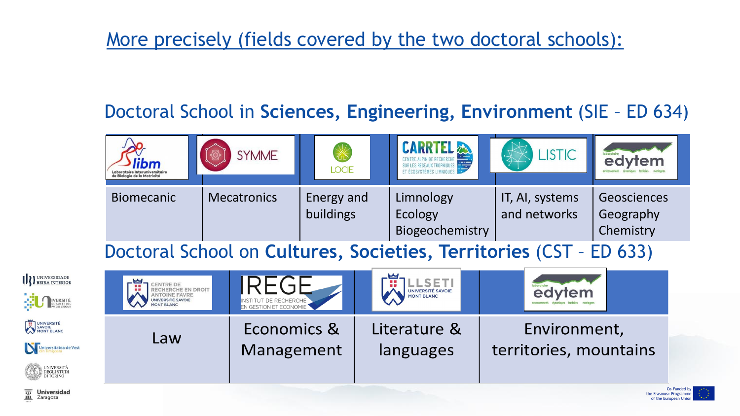### More precisely (fields covered by the two doctoral schools):

### Doctoral School in **Sciences, Engineering, Environment** (SIE – ED 634)



the Erasmus+ Programm

of the European

Doctoral School on **Cultures, Societies, Territories** (CST – ED 633)

| U DEIRA INTERIOR<br><b>EXAMPLE AND IVERSITÉ</b>                      | THE RECHERCHE EN DROIT<br>ANTOINE FAVRE<br>UNIVERSITÉ SAVOIE<br><b>MONT BLANC</b> | INSTITUT DE RECHERCHE | <b>LSET</b><br>UNIVERSITÉ SAVOIE<br>MONT BLANC | edytem                 |
|----------------------------------------------------------------------|-----------------------------------------------------------------------------------|-----------------------|------------------------------------------------|------------------------|
| UNIVERSITÉ                                                           | Law                                                                               | Economics &           | Literature &                                   | Environment,           |
| Universitatea de Vest<br>UNIVERSITÀ<br>DEGLI STUDI<br>CARA DI TORINO |                                                                                   | Management            | languages                                      | territories, mountains |
|                                                                      |                                                                                   |                       |                                                | C <sub>0</sub>         |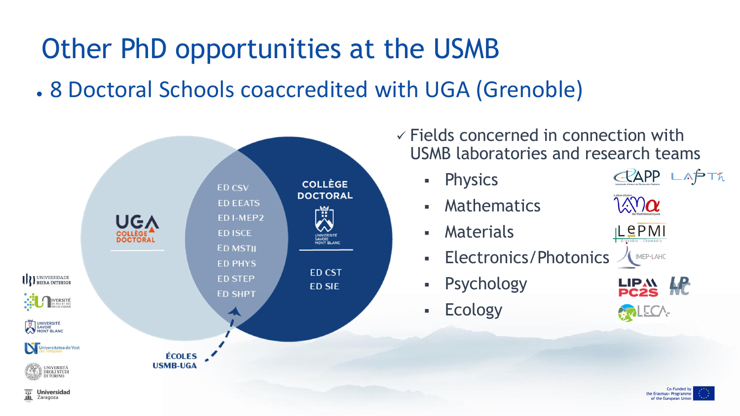### Other PhD opportunities at the USMB

. 8 Doctoral Schools coaccredited with UGA (Grenoble)



Zaragoza

 $\checkmark$  Fields concerned in connection with USMB laboratories and research teams

▪ Physics

▪ Mathematics

- Materials
- Electronics/Photonics
- **Psychology**
- **Ecology**



MEP-LAHC

CRAPP LAPTA



LECA-

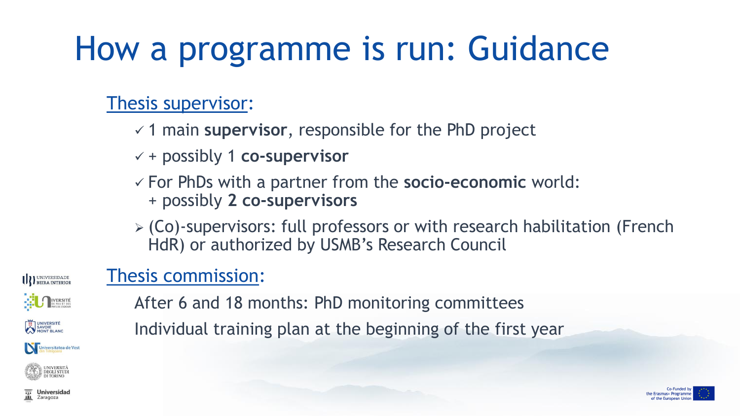## How a programme is run: Guidance

### Thesis supervisor:

- ✓ 1 main **supervisor**, responsible for the PhD project
- ✓ + possibly 1 **co-supervisor**
- ✓ For PhDs with a partner from the **socio-economic** world: + possibly **2 co-supervisors**
- ➢ (Co)-supervisors: full professors or with research habilitation (French HdR) or authorized by USMB's Research Council

### Thesis commission:

**IVERSITÉ** 

**IN UNIVERSIDADE** 

UNIVERSITÉ<br>SAVOIE<br>MONT BLANC

After 6 and 18 months: PhD monitoring committees Individual training plan at the beginning of the first year





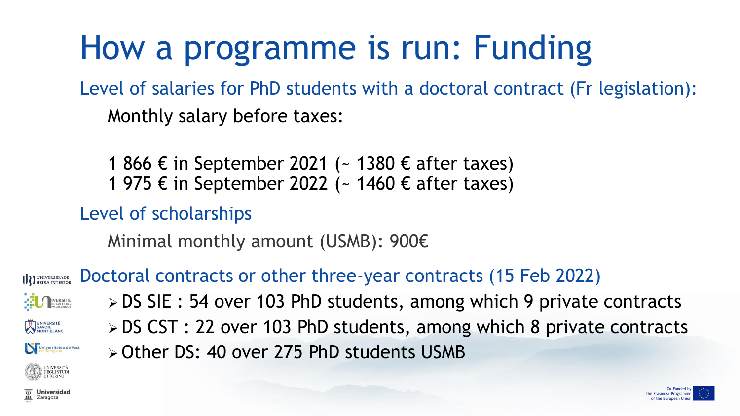## How a programme is run: Funding

Level of salaries for PhD students with a doctoral contract (Fr legislation): Monthly salary before taxes:

1 866 € in September 2021 (~ 1380 € after taxes) 1 975 € in September 2022 (~ 1460 € after taxes)

Level of scholarships

Minimal monthly amount (USMB): 900€

➢ Other DS: 40 over 275 PhD students USMB

Doctoral contracts or other three-year contracts (15 Feb 2022) **III** BEIRA INTERIOR

IVERSITÉ

SAVOIE<br>SAVOIE<br>MONT BLANC

➢ DS SIE : 54 over 103 PhD students, among which 9 private contracts ➢ DS CST : 22 over 103 PhD students, among which 8 private contracts

Universitatea de Vest

**DEGLI STUDI**